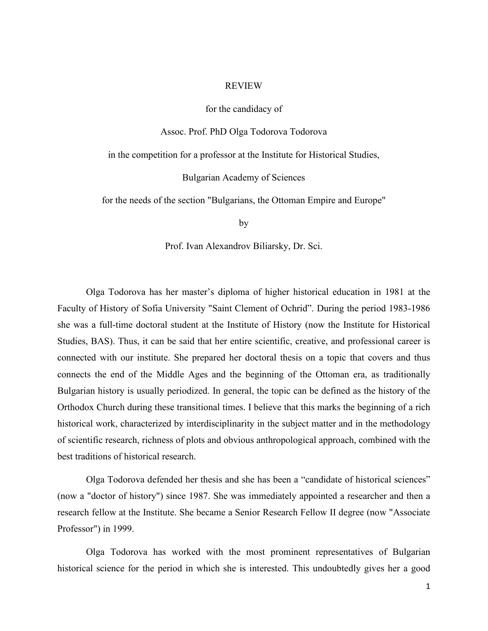## REVIEW

## for the candidacy of

Assoc. Prof. PhD Olga Todorova Todorova

in the competition for a professor at the Institute for Historical Studies,

Bulgarian Academy of Sciences

for the needs of the section "Bulgarians, the Ottoman Empire and Europe"

by

Prof. Ivan Alexandrov Biliarsky, Dr. Sci.

Olga Todorova has her master's diploma of higher historical education in 1981 at the Faculty of History of Sofia University "Saint Clement of Ochrid". During the period 1983-1986 she was a full-time doctoral student at the Institute of History (now the Institute for Historical Studies, BAS). Thus, it can be said that her entire scientific, creative, and professional career is connected with our institute. She prepared her doctoral thesis on a topic that covers and thus connects the end of the Middle Ages and the beginning of the Ottoman era, as traditionally Bulgarian history is usually periodized. In general, the topic can be defined as the history of the Orthodox Church during these transitional times. I believe that this marks the beginning of a rich historical work, characterized by interdisciplinarity in the subject matter and in the methodology of scientific research, richness of plots and obvious anthropological approach, combined with the best traditions of historical research.

Olga Todorova defended her thesis and she has been a "candidate of historical sciences" (now a "doctor of history") since 1987. She was immediately appointed a researcher and then a research fellow at the Institute. She became a Senior Research Fellow II degree (now "Associate Professor") in 1999.

Olga Todorova has worked with the most prominent representatives of Bulgarian historical science for the period in which she is interested. This undoubtedly gives her a good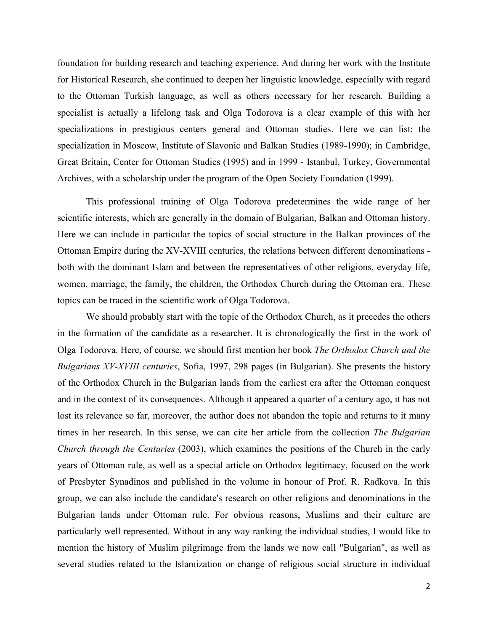foundation for building research and teaching experience. And during her work with the Institute for Historical Research, she continued to deepen her linguistic knowledge, especially with regard to the Ottoman Turkish language, as well as others necessary for her research. Building a specialist is actually a lifelong task and Olga Todorova is a clear example of this with her specializations in prestigious centers general and Ottoman studies. Here we can list: the specialization in Moscow, Institute of Slavonic and Balkan Studies (1989-1990); in Cambridge, Great Britain, Center for Ottoman Studies (1995) and in 1999 - Istanbul, Turkey, Governmental Archives, with a scholarship under the program of the Open Society Foundation (1999).

This professional training of Olga Todorova predetermines the wide range of her scientific interests, which are generally in the domain of Bulgarian, Balkan and Ottoman history. Here we can include in particular the topics of social structure in the Balkan provinces of the Ottoman Empire during the XV-XVIII centuries, the relations between different denominations both with the dominant Islam and between the representatives of other religions, everyday life, women, marriage, the family, the children, the Orthodox Church during the Ottoman era. These topics can be traced in the scientific work of Olga Todorova.

We should probably start with the topic of the Orthodox Church, as it precedes the others in the formation of the candidate as a researcher. It is chronologically the first in the work of Olga Todorova. Here, of course, we should first mention her book *The Orthodox Church and the Bulgarians XV-XVIII centuries*, Sofia, 1997, 298 pages (in Bulgarian). She presents the history of the Orthodox Church in the Bulgarian lands from the earliest era after the Ottoman conquest and in the context of its consequences. Although it appeared a quarter of a century ago, it has not lost its relevance so far, moreover, the author does not abandon the topic and returns to it many times in her research. In this sense, we can cite her article from the collection *The Bulgarian Church through the Centuries* (2003), which examines the positions of the Church in the early years of Ottoman rule, as well as a special article on Orthodox legitimacy, focused on the work of Presbyter Synadinos and published in the volume in honour of Prof. R. Radkova. In this group, we can also include the candidate's research on other religions and denominations in the Bulgarian lands under Ottoman rule. For obvious reasons, Muslims and their culture are particularly well represented. Without in any way ranking the individual studies, I would like to mention the history of Muslim pilgrimage from the lands we now call "Bulgarian", as well as several studies related to the Islamization or change of religious social structure in individual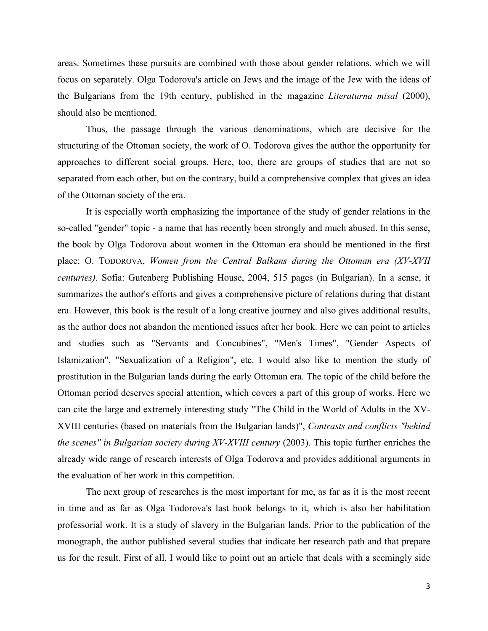areas. Sometimes these pursuits are combined with those about gender relations, which we will focus on separately. Olga Todorova's article on Jews and the image of the Jew with the ideas of the Bulgarians from the 19th century, published in the magazine *Literaturna misal* (2000), should also be mentioned.

Thus, the passage through the various denominations, which are decisive for the structuring of the Ottoman society, the work of O. Todorova gives the author the opportunity for approaches to different social groups. Here, too, there are groups of studies that are not so separated from each other, but on the contrary, build a comprehensive complex that gives an idea of the Ottoman society of the era.

It is especially worth emphasizing the importance of the study of gender relations in the so-called "gender" topic - a name that has recently been strongly and much abused. In this sense, the book by Olga Todorova about women in the Ottoman era should be mentioned in the first place: O. TODOROVA, *Women from the Central Balkans during the Ottoman era (XV-XVII centuries)*. Sofia: Gutenberg Publishing House, 2004, 515 pages (in Bulgarian). In a sense, it summarizes the author's efforts and gives a comprehensive picture of relations during that distant era. However, this book is the result of a long creative journey and also gives additional results, as the author does not abandon the mentioned issues after her book. Here we can point to articles and studies such as "Servants and Concubines", "Men's Times", "Gender Aspects of Islamization", "Sexualization of a Religion", etc. I would also like to mention the study of prostitution in the Bulgarian lands during the early Ottoman era. The topic of the child before the Ottoman period deserves special attention, which covers a part of this group of works. Here we can cite the large and extremely interesting study "The Child in the World of Adults in the XV-XVIII centuries (based on materials from the Bulgarian lands)", *Contrasts and conflicts "behind the scenes" in Bulgarian society during XV-XVIII century* (2003). This topic further enriches the already wide range of research interests of Olga Todorova and provides additional arguments in the evaluation of her work in this competition.

The next group of researches is the most important for me, as far as it is the most recent in time and as far as Olga Todorova's last book belongs to it, which is also her habilitation professorial work. It is a study of slavery in the Bulgarian lands. Prior to the publication of the monograph, the author published several studies that indicate her research path and that prepare us for the result. First of all, I would like to point out an article that deals with a seemingly side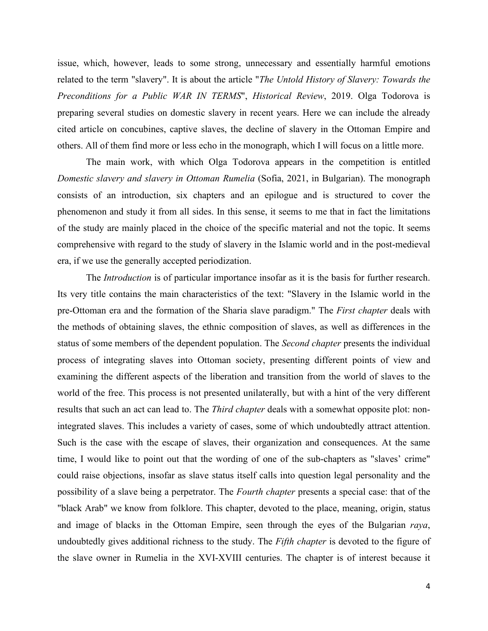issue, which, however, leads to some strong, unnecessary and essentially harmful emotions related to the term "slavery". It is about the article "*The Untold History of Slavery: Towards the Preconditions for a Public WAR IN TERMS*", *Historical Review*, 2019. Olga Todorova is preparing several studies on domestic slavery in recent years. Here we can include the already cited article on concubines, captive slaves, the decline of slavery in the Ottoman Empire and others. All of them find more or less echo in the monograph, which I will focus on a little more.

The main work, with which Olga Todorova appears in the competition is entitled *Domestic slavery and slavery in Ottoman Rumelia* (Sofia, 2021, in Bulgarian). The monograph consists of an introduction, six chapters and an epilogue and is structured to cover the phenomenon and study it from all sides. In this sense, it seems to me that in fact the limitations of the study are mainly placed in the choice of the specific material and not the topic. It seems comprehensive with regard to the study of slavery in the Islamic world and in the post-medieval era, if we use the generally accepted periodization.

The *Introduction* is of particular importance insofar as it is the basis for further research. Its very title contains the main characteristics of the text: "Slavery in the Islamic world in the pre-Ottoman era and the formation of the Sharia slave paradigm." The *First chapter* deals with the methods of obtaining slaves, the ethnic composition of slaves, as well as differences in the status of some members of the dependent population. The *Second chapter* presents the individual process of integrating slaves into Ottoman society, presenting different points of view and examining the different aspects of the liberation and transition from the world of slaves to the world of the free. This process is not presented unilaterally, but with a hint of the very different results that such an act can lead to. The *Third chapter* deals with a somewhat opposite plot: nonintegrated slaves. This includes a variety of cases, some of which undoubtedly attract attention. Such is the case with the escape of slaves, their organization and consequences. At the same time, I would like to point out that the wording of one of the sub-chapters as "slaves' crime" could raise objections, insofar as slave status itself calls into question legal personality and the possibility of a slave being a perpetrator. The *Fourth chapter* presents a special case: that of the "black Arab" we know from folklore. This chapter, devoted to the place, meaning, origin, status and image of blacks in the Ottoman Empire, seen through the eyes of the Bulgarian *raya*, undoubtedly gives additional richness to the study. The *Fifth chapter* is devoted to the figure of the slave owner in Rumelia in the XVI-XVIII centuries. The chapter is of interest because it